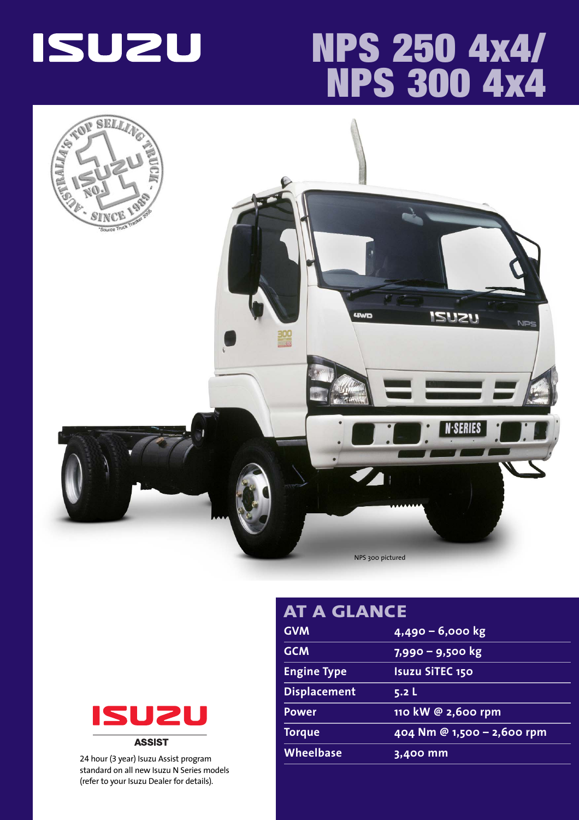

# **NPS 250 4x4/ NPS 300 4x4**





24 hour (3 year) Isuzu Assist program standard on all new Isuzu N Series models (refer to your Isuzu Dealer for details).

| AT A GLANCE         |                            |  |  |  |  |  |
|---------------------|----------------------------|--|--|--|--|--|
| <b>GVM</b>          | 4,490 - 6,000 kg           |  |  |  |  |  |
| <b>GCM</b>          | 7,990 - 9,500 kg           |  |  |  |  |  |
| <b>Engine Type</b>  | <b>Isuzu SiTEC 150</b>     |  |  |  |  |  |
| <b>Displacement</b> | 5.2L                       |  |  |  |  |  |
| <b>Power</b>        | 110 kW @ 2,600 rpm         |  |  |  |  |  |
| <b>Torque</b>       | 404 Nm @ 1,500 - 2,600 rpm |  |  |  |  |  |
| <b>Wheelbase</b>    | 3,400 mm                   |  |  |  |  |  |
|                     |                            |  |  |  |  |  |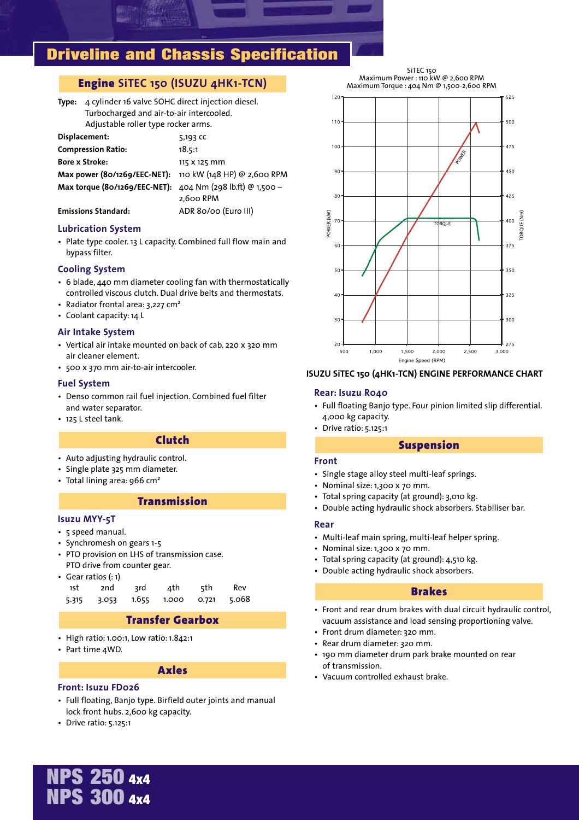### **Driveline and Chassis Specification**

### **Engine SiTEC 150 (ISUZU 4HK1-TCN)**

**Type:** 4 cylinder 16 valve SOHC direct injection diesel. Turbocharged and air-to-air intercooled. Adjustable roller type rocker arms.

| Displacement:                                              | 5,193 CC     |
|------------------------------------------------------------|--------------|
| <b>Compression Ratio:</b>                                  | 18.5:1       |
| <b>Bore x Stroke:</b>                                      | 115 X 125 mm |
| Max power (80/1269/EEC-NET): 110 kW (148 HP) @ 2,600 RPM   |              |
| Max torque (80/1269/EEC-NET): 404 Nm (298 lb.ft) @ 1,500 - |              |
|                                                            | 2.600 RPM    |

#### **Emissions Standard:** ADR 80/00 (Euro III)

#### **Lubrication System**

• Plate type cooler. 13 L capacity. Combined full flow main and bypass filter.

#### **Cooling System**

- 6 blade, 440 mm diameter cooling fan with thermostatically controlled viscous clutch. Dual drive belts and thermostats.
- Radiator frontal area: 3,227 cm<sup>2</sup>
- Coolant capacity: 14 L

#### **Air Intake System**

- Vertical air intake mounted on back of cab. 220 x 320 mm air cleaner element.
- 500 x 370 mm air-to-air intercooler.

#### **Fuel System**

- Denso common rail fuel injection. Combined fuel filter and water separator.
- 125 L steel tank.

#### **Clutch**

- Auto adjusting hydraulic control.
- Single plate 325 mm diameter.
- Total lining area: 966 cm<sup>2</sup>

#### **Transmission**

#### **Isuzu MYY-5T**

- 5 speed manual.
- Synchromesh on gears 1-5
- PTO provision on LHS of transmission case. PTO drive from counter gear.
- Gear ratios (: 1)

|  | 1st 2nd 3rd 4th 5th Rev             |  |
|--|-------------------------------------|--|
|  | 5.315 3.053 1.655 1.000 0.721 5.068 |  |

### **Transfer Gearbox**

- High ratio: 1.00:1, Low ratio: 1.842:1
- Part time 4WD.

#### **Axles**

#### **Front: Isuzu FD026**

- Full floating, Banjo type. Birfield outer joints and manual lock front hubs. 2,600 kg capacity.
- Drive ratio: 5.125:1

SiTEC 150 Maximum Power : 110 kW @ 2,600 RPM Maximum Torque : 404 Nm @ 1,500-2,600 RPM



#### **ISUZU SiTEC 150 (4HK1-TCN) ENGINE PERFORMANCE CHART**

#### **Rear: Isuzu R040**

- Full floating Banjo type. Four pinion limited slip differential. 4,000 kg capacity.
- Drive ratio: 5.125:1

#### **Suspension**

#### **Front**

- Single stage alloy steel multi-leaf springs.
- Nominal size: 1,300 x 70 mm.
- Total spring capacity (at ground): 3,010 kg.
- Double acting hydraulic shock absorbers. Stabiliser bar.

#### **Rear**

- Multi-leaf main spring, multi-leaf helper spring.
- Nominal size: 1,300 x 70 mm.
- Total spring capacity (at ground): 4,510 kg.
- Double acting hydraulic shock absorbers.

#### **Brakes**

- Front and rear drum brakes with dual circuit hydraulic control, vacuum assistance and load sensing proportioning valve.
- Front drum diameter: 320 mm.
- Rear drum diameter: 320 mm.
- 190 mm diameter drum park brake mounted on rear of transmission.
- Vacuum controlled exhaust brake.

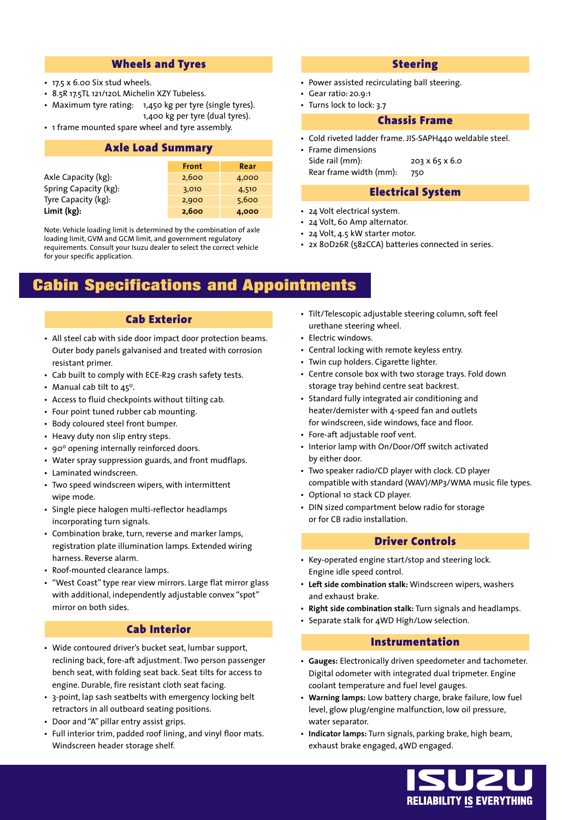#### **Wheels and Tyres**

- 17.5 x 6.00 Six stud wheels.
- 8.5R 17.5TL 121/120L Michelin XZY Tubeless.
- Maximum tyre rating: 1,450 kg per tyre (single tyres). 1,400 kg per tyre (dual tyres).
- 1 frame mounted spare wheel and tyre assembly.

## **Axle Load Summary**

|                       | Front | Rear  |
|-----------------------|-------|-------|
| Axle Capacity (kg):   | 2,600 | 4,000 |
| Spring Capacity (kg): | 3,010 | 4,510 |
| Tyre Capacity (kg):   | 2,900 | 5,600 |
| Limit (kg):           | 2,600 | 4,000 |

Note: Vehicle loading limit is determined by the combination of axle loading limit, GVM and GCM limit, and government regulatory requirements. Consult your Isuzu dealer to select the correct vehicle for your specific application.

### **Cabin Specifications and Appointments**

- All steel cab with side door impact door protection beams. Outer body panels galvanised and treated with corrosion resistant primer.
- Cab built to comply with ECE-R29 crash safety tests.
- Manual cab tilt to  $45^\circ$ .
- Access to fluid checkpoints without tilting cab.
- Four point tuned rubber cab mounting.
- Body coloured steel front bumper.
- Heavy duty non slip entry steps.
- 90° opening internally reinforced doors.
- Water spray suppression guards, and front mudflaps.
- Laminated windscreen.
- Two speed windscreen wipers, with intermittent wipe mode.
- Single piece halogen multi-reflector headlamps incorporating turn signals.
- Combination brake, turn, reverse and marker lamps, registration plate illumination lamps. Extended wiring harness. Reverse alarm.
- Roof-mounted clearance lamps.
- "West Coast" type rear view mirrors. Large flat mirror glass with additional, independently adjustable convex "spot" mirror on both sides.

### **Cab Interior**

- Wide contoured driver's bucket seat, lumbar support, reclining back, fore-aft adjustment. Two person passenger bench seat, with folding seat back. Seat tilts for access to engine. Durable, fire resistant cloth seat facing.
- 3-point, lap sash seatbelts with emergency locking belt retractors in all outboard seating positions.
- Door and "A" pillar entry assist grips.
- Full interior trim, padded roof lining, and vinyl floor mats. Windscreen header storage shelf.

#### **Steering**

- Power assisted recirculating ball steering.
- Gear ratio: 20.9:1
- Turns lock to lock: 3.7

#### **Chassis Frame**

- Cold riveted ladder frame. JIS-SAPH440 weldable steel.
- Frame dimensions Side rail (mm): 203 x 65 x 6.0

Rear frame width (mm): 750

#### **Electrical System**

- 24 Volt electrical system.
- 24 Volt, 60 Amp alternator.
- 24 Volt, 4.5 kW starter motor.
- 2x 80D26R (582CCA) batteries connected in series.
- **Cab Exterior Tilt/Telescopic adjustable steering column, soft feel** urethane steering wheel.
	- Electric windows.
	- Central locking with remote keyless entry.
	- Twin cup holders. Cigarette lighter.
	- Centre console box with two storage trays. Fold down storage tray behind centre seat backrest.
	- Standard fully integrated air conditioning and heater/demister with 4-speed fan and outlets for windscreen, side windows, face and floor.
	- Fore-aft adjustable roof vent.
	- Interior lamp with On/Door/Off switch activated by either door.
	- Two speaker radio/CD player with clock. CD player compatible with standard (WAV)/MP3/WMA music file types.
	- Optional 10 stack CD player.
	- DIN sized compartment below radio for storage or for CB radio installation.

#### **Driver Controls**

- Key-operated engine start/stop and steering lock. Engine idle speed control.
- **Left side combination stalk:** Windscreen wipers, washers and exhaust brake.
- **Right side combination stalk:** Turn signals and headlamps.
- Separate stalk for 4WD High/Low selection.

#### **Instrumentation**

- **Gauges:** Electronically driven speedometer and tachometer. Digital odometer with integrated dual tripmeter. Engine coolant temperature and fuel level gauges.
- **Warning lamps:** Low battery charge, brake failure, low fuel level, glow plug/engine malfunction, low oil pressure, water separator.
- **Indicator lamps:** Turn signals, parking brake, high beam, exhaust brake engaged, 4WD engaged.